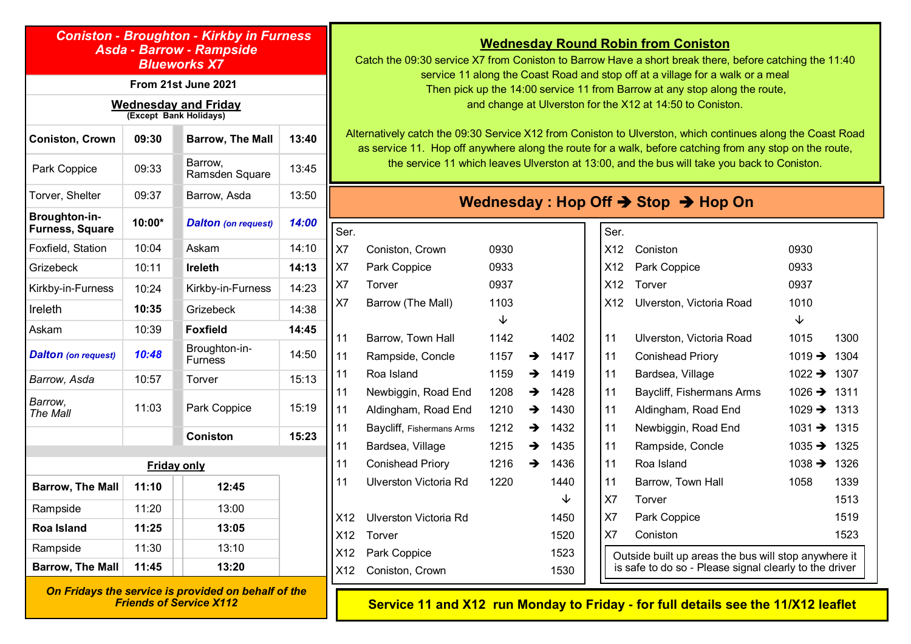### *Coniston - Broughton - Kirkby in Furness Asda - Barrow - Rampside Blueworks X7*

### **From 21st June 2021**

#### **Wednesday and Friday (Except Bank Holidays)**

| <b>Coniston, Crown</b>                         | 09:30  | <b>Barrow, The Mall</b>         | 13:40 |
|------------------------------------------------|--------|---------------------------------|-------|
| Park Coppice                                   | 09:33  | Barrow,<br>Ramsden Square       | 13:45 |
| Torver, Shelter                                | 09:37  | Barrow, Asda                    | 13:50 |
| <b>Broughton-in-</b><br><b>Furness, Square</b> | 10:00* | <b>Dalton</b> (on request)      | 14:00 |
| Foxfield, Station                              | 10:04  | Askam                           | 14:10 |
| Grizebeck                                      | 10:11  | <b>Ireleth</b>                  | 14:13 |
| Kirkby-in-Furness                              | 10:24  | Kirkby-in-Furness               | 14:23 |
| Ireleth                                        | 10:35  | Grizebeck                       | 14:38 |
| Askam                                          | 10:39  | <b>Foxfield</b>                 | 14:45 |
| <b>Dalton</b> (on request)                     | 10:48  | Broughton-in-<br><b>Furness</b> | 14:50 |
| Barrow, Asda                                   | 10:57  | Torver                          | 15:13 |
| Barrow,<br>The Mall                            | 11:03  | Park Coppice                    | 15:19 |
|                                                |        | <b>Coniston</b>                 | 15:23 |
|                                                |        | <b>Friday only</b>              |       |
|                                                |        |                                 |       |
| <b>Barrow, The Mall</b>                        | 11:10  | 12:45                           |       |
| Rampside                                       | 11:20  | 13:00                           |       |
| <b>Roa Island</b>                              | 11:25  | 13:05                           |       |
| Rampside                                       | 11:30  | 13:10                           |       |
| <b>Barrow, The Mall</b>                        | 11:45  | 13:20                           |       |

*On Fridays the service is provided on behalf of the Friends of Service X112*

# **Wednesday Round Robin from Coniston**

Catch the 09:30 service X7 from Coniston to Barrow Have a short break there, before catching the 11:40 service 11 along the Coast Road and stop off at a village for a walk or a meal Then pick up the 14:00 service 11 from Barrow at any stop along the route, and change at Ulverston for the X12 at 14:50 to Coniston.

Alternatively catch the 09:30 Service X12 from Coniston to Ulverston, which continues along the Coast Road as service 11. Hop off anywhere along the route for a walk, before catching from any stop on the route, the service 11 which leaves Ulverston at 13:00, and the bus will take you back to Coniston.

# **Wednesday : Hop Off** è **Stop** è **Hop On**

 $\overline{\mathbf{S}}$ 

| Ser.           |                           |      |               |      |
|----------------|---------------------------|------|---------------|------|
| X7             | Coniston, Crown           | 0930 |               |      |
| X7             | Park Coppice              | 0933 |               |      |
| X <sub>7</sub> | Torver                    | 0937 |               |      |
| X7             | Barrow (The Mall)         | 1103 |               |      |
|                |                           | ↓    |               |      |
| 11             | Barrow, Town Hall         | 1142 |               | 1402 |
| 11             | Rampside, Concle          | 1157 | $\rightarrow$ | 1417 |
| 11             | Roa Island                | 1159 | $\rightarrow$ | 1419 |
| 11             | Newbiggin, Road End       | 1208 | $\rightarrow$ | 1428 |
| 11             | Aldingham, Road End       | 1210 | $\rightarrow$ | 1430 |
| 11             | Baycliff, Fishermans Arms | 1212 | $\rightarrow$ | 1432 |
| 11             | Bardsea, Village          | 1215 | $\rightarrow$ | 1435 |
| 11             | <b>Conishead Priory</b>   | 1216 | $\rightarrow$ | 1436 |
| 11             | Ulverston Victoria Rd     | 1220 |               | 1440 |
|                |                           |      |               | ↓    |
| X12            | Ulverston Victoria Rd     |      |               | 1450 |
| X12            | Torver                    |      |               | 1520 |
| X12            | Park Coppice              |      |               | 1523 |
| X12            | Coniston, Crown           |      |               | 1530 |

| X <sub>12</sub> | Coniston                  | 0930               |      |
|-----------------|---------------------------|--------------------|------|
| X <sub>12</sub> | Park Coppice              | 0933               |      |
| X <sub>12</sub> | Torver                    | 0937               |      |
| X12             | Ulverston, Victoria Road  | 1010               |      |
|                 |                           | ↓                  |      |
| 11              | Ulverston, Victoria Road  | 1015               | 1300 |
| 11              | <b>Conishead Priory</b>   | 1019 $\rightarrow$ | 1304 |
| 11              | Bardsea, Village          | $1022 \rightarrow$ | 1307 |
| 11              | Baycliff, Fishermans Arms | 1026 $\rightarrow$ | 1311 |
| 11              | Aldingham, Road End       | 1029 $\rightarrow$ | 1313 |
| 11              | Newbiggin, Road End       | 1031 $\rightarrow$ | 1315 |
| 11              | Rampside, Concle          | 1035 $\rightarrow$ | 1325 |
| 11              | Roa Island                | 1038 $\rightarrow$ | 1326 |
| 11              | Barrow, Town Hall         | 1058               | 1339 |
| X7              | Torver                    |                    | 1513 |
| X7              | Park Coppice              |                    | 1519 |
| X7              | Coniston                  |                    | 1523 |

**Service 11 and X12 run Monday to Friday - for full details see the 11/X12 leaflet**